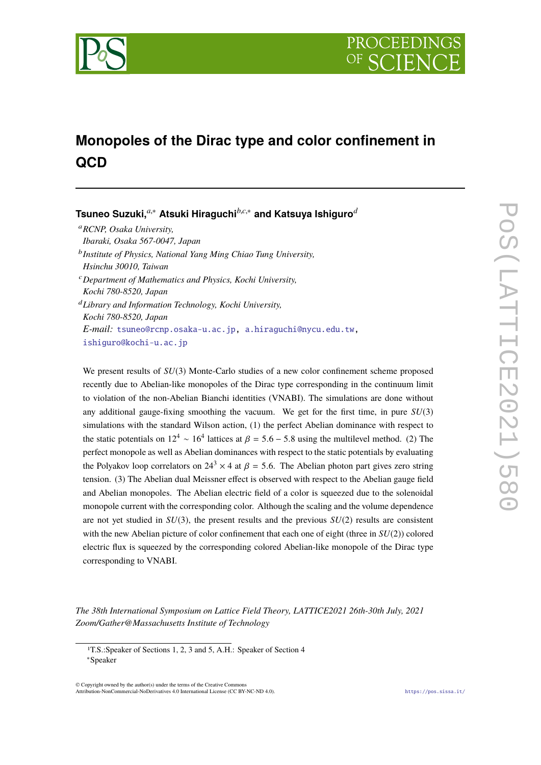

# **Monopoles of the Dirac type and color confinement in QCD**

**Tsuneo Suzuki,***a*,<sup>∗</sup> **Atsuki Hiraguchi***b*,*c*,<sup>∗</sup> **and Katsuya Ishiguro***<sup>d</sup>*

<sup>a</sup>*RCNP, Osaka University, Ibaraki, Osaka 567-0047, Japan* b *Institute of Physics, National Yang Ming Chiao Tung University, Hsinchu 30010, Taiwan* <sup>c</sup>*Department of Mathematics and Physics, Kochi University, Kochi 780-8520, Japan* <sup>d</sup>*Library and Information Technology, Kochi University, Kochi 780-8520, Japan*

*E-mail:* tsuneo@rcnp.osaka-u.ac.jp, a.hiraguchi@nycu.edu.tw, ishiguro@kochi-u.ac.jp

We present results of  $SU(3)$  Monte-Carlo studies of a new color confinement scheme proposed recently due to Abelian-like monopoles of the Dirac type corresponding in the continuum limit to violation of the non-Abelian Bianchi identities (VNABI). The simulations are done without any additional gauge-fixing smoothing the vacuum. We get for the first time, in pure *SU*(3) simulations with the standard Wilson action, (1) the perfect Abelian dominance with respect to the static potentials on  $12^4 \sim 16^4$  lattices at  $\beta = 5.6 - 5.8$  using the multilevel method. (2) The perfect monopole as well as Abelian dominances with respect to the static potentials by evaluating the Polyakov loop correlators on  $24^3 \times 4$  at  $\beta = 5.6$ . The Abelian photon part gives zero string tension. (3) The Abelian dual Meissner effect is observed with respect to the Abelian gauge field and Abelian monopoles. The Abelian electric field of a color is squeezed due to the solenoidal monopole current with the corresponding color. Although the scaling and the volume dependence are not yet studied in *SU*(3), the present results and the previous *SU*(2) results are consistent with the new Abelian picture of color confinement that each one of eight (three in *SU*(2)) colored electric flux is squeezed by the corresponding colored Abelian-like monopole of the Dirac type corresponding to VNABI.

*The 38th International Symposium on Lattice Field Theory, LATTICE2021 26th-30th July, 2021 Zoom/Gather@Massachusetts Institute of Technology*

© Copyright owned by the author(s) under the terms of the Creative Commons Attribution-NonCommercial-NoDerivatives 4.0 International License (CC BY-NC-ND 4.0). https://pos.sissa.it/

<sup>1</sup>T.S.:Speaker of Sections 1, 2, 3 and 5, A.H.: Speaker of Section 4

<sup>∗</sup>Speaker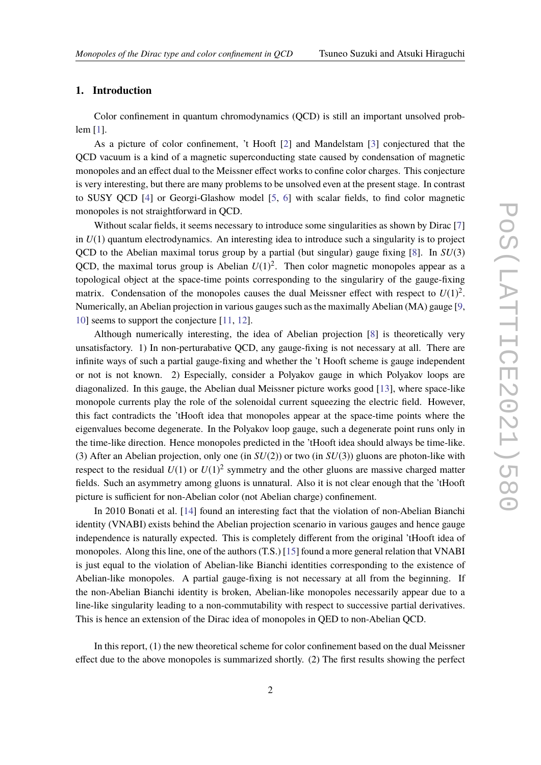# **1. Introduction**

Color confinement in quantum chromodynamics (QCD) is still an important unsolved problem [1].

As a picture of color confinement, 't Hooft [2] and Mandelstam [3] conjectured that the QCD vacuum is a kind of a magnetic superconducting state caused by condensation of magnetic monopoles and an effect dual to the Meissner effect works to confine color charges. This conjecture is very interesting, but there are many problems to be unsolved even at the present stage. In contrast to SUSY QCD [4] or Georgi-Glashow model [5, 6] with scalar fields, to find color magnetic monopoles is not straightforward in QCD.

Without scalar fields, it seems necessary to introduce some singularities as shown by Dirac [7] in  $U(1)$  quantum electrodynamics. An interesting idea to introduce such a singularity is to project QCD to the Abelian maximal torus group by a partial (but singular) gauge fixing [8]. In *SU*(3) QCD, the maximal torus group is Abelian  $U(1)^2$ . Then color magnetic monopoles appear as a topological object at the space-time points corresponding to the singulariry of the gauge-fixing matrix. Condensation of the monopoles causes the dual Meissner effect with respect to  $U(1)^2$ . Numerically, an Abelian projection in various gauges such as the maximally Abelian (MA) gauge [9, 10] seems to support the conjecture [11, 12].

Although numerically interesting, the idea of Abelian projection [8] is theoretically very unsatisfactory. 1) In non-perturabative QCD, any gauge-fixing is not necessary at all. There are infinite ways of such a partial gauge-fixing and whether the 't Hooft scheme is gauge independent or not is not known. 2) Especially, consider a Polyakov gauge in which Polyakov loops are diagonalized. In this gauge, the Abelian dual Meissner picture works good [13], where space-like monopole currents play the role of the solenoidal current squeezing the electric field. However, this fact contradicts the 'tHooft idea that monopoles appear at the space-time points where the eigenvalues become degenerate. In the Polyakov loop gauge, such a degenerate point runs only in the time-like direction. Hence monopoles predicted in the 'tHooft idea should always be time-like. (3) After an Abelian projection, only one (in *SU*(2)) or two (in *SU*(3)) gluons are photon-like with respect to the residual  $U(1)$  or  $U(1)^2$  symmetry and the other gluons are massive charged matter fields. Such an asymmetry among gluons is unnatural. Also it is not clear enough that the 'tHooft picture is sufficient for non-Abelian color (not Abelian charge) confinement.

In 2010 Bonati et al. [14] found an interesting fact that the violation of non-Abelian Bianchi identity (VNABI) exists behind the Abelian projection scenario in various gauges and hence gauge independence is naturally expected. This is completely different from the original 'tHooft idea of monopoles. Along this line, one of the authors (T.S.) [15] found a more general relation that VNABI is just equal to the violation of Abelian-like Bianchi identities corresponding to the existence of Abelian-like monopoles. A partial gauge-fixing is not necessary at all from the beginning. If the non-Abelian Bianchi identity is broken, Abelian-like monopoles necessarily appear due to a line-like singularity leading to a non-commutability with respect to successive partial derivatives. This is hence an extension of the Dirac idea of monopoles in QED to non-Abelian QCD.

In this report, (1) the new theoretical scheme for color confinement based on the dual Meissner effect due to the above monopoles is summarized shortly. (2) The first results showing the perfect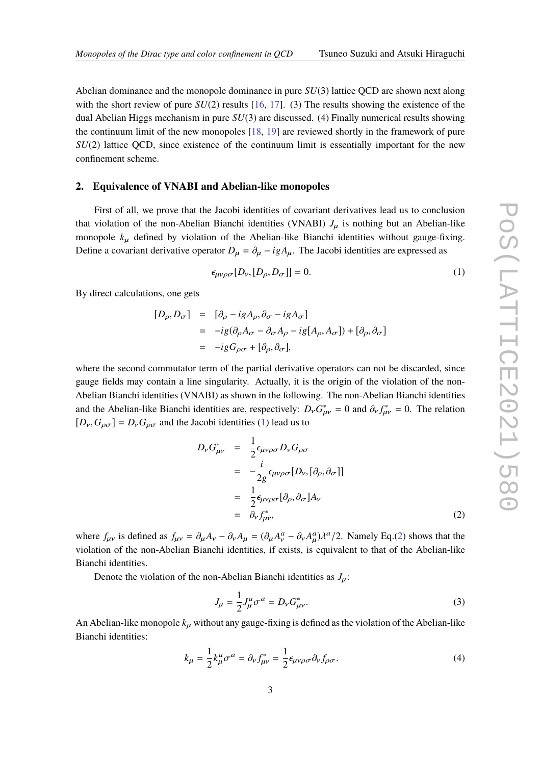Abelian dominance and the monopole dominance in pure *SU*(3) lattice QCD are shown next along with the short review of pure  $SU(2)$  results [16, 17]. (3) The results showing the existence of the dual Abelian Higgs mechanism in pure *SU*(3) are discussed. (4) Finally numerical results showing the continuum limit of the new monopoles [18, 19] are reviewed shortly in the framework of pure *SU*(2) lattice QCD, since existence of the continuum limit is essentially important for the new confinement scheme.

# **2. Equivalence of VNABI and Abelian-like monopoles**

First of all, we prove that the Jacobi identities of covariant derivatives lead us to conclusion that violation of the non-Abelian Bianchi identities (VNABI)  $J_{\mu}$  is nothing but an Abelian-like monopole  $k_{\mu}$  defined by violation of the Abelian-like Bianchi identities without gauge-fixing. Define a covariant derivative operator  $D_{\mu} = \partial_{\mu} - igA_{\mu}$ . The Jacobi identities are expressed as

$$
\epsilon_{\mu\nu\rho\sigma}[D_{\nu}, [D_{\rho}, D_{\sigma}]] = 0. \tag{1}
$$

By direct calculations, one gets

$$
[D_{\rho}, D_{\sigma}] = [\partial_{\rho} - igA_{\rho}, \partial_{\sigma} - igA_{\sigma}]
$$
  
=  $-ig(\partial_{\rho}A_{\sigma} - \partial_{\sigma}A_{\rho} - ig[A_{\rho}, A_{\sigma}]) + [\partial_{\rho}, \partial_{\sigma}]$   
=  $-igG_{\rho\sigma} + [\partial_{\rho}, \partial_{\sigma}],$ 

where the second commutator term of the partial derivative operators can not be discarded, since gauge fields may contain a line singularity. Actually, it is the origin of the violation of the non-Abelian Bianchi identities (VNABI) as shown in the following. The non-Abelian Bianchi identities and the Abelian-like Bianchi identities are, respectively:  $D_v G^*_{\mu\nu} = 0$  and  $\partial_v f^*_{\mu\nu} = 0$ . The relation  $[D_{\nu}, G_{\rho\sigma}] = D_{\nu}G_{\rho\sigma}$  and the Jacobi identities (1) lead us to

$$
D_{\nu}G_{\mu\nu}^{*} = \frac{1}{2}\epsilon_{\mu\nu\rho\sigma}D_{\nu}G_{\rho\sigma}
$$
  

$$
= -\frac{i}{2g}\epsilon_{\mu\nu\rho\sigma}[D_{\nu},[\partial_{\rho},\partial_{\sigma}]]
$$
  

$$
= \frac{1}{2}\epsilon_{\mu\nu\rho\sigma}[\partial_{\rho},\partial_{\sigma}]A_{\nu}
$$
  

$$
= \partial_{\nu}f_{\mu\nu}^{*}, \qquad (2)
$$

where  $f_{\mu\nu}$  is defined as  $f_{\mu\nu} = \partial_{\mu}A_{\nu} - \partial_{\nu}A_{\mu} = (\partial_{\mu}A_{\nu}^a - \partial_{\nu}A_{\mu}^a)\lambda^a/2$ . Namely Eq.(2) shows that the violation of the non-Abelian Bianchi identities, if exists, is equivalent to that of the Abelian-like Bianchi identities.

Denote the violation of the non-Abelian Bianchi identities as  $J_\mu$ :

$$
J_{\mu} = \frac{1}{2} J_{\mu}^{a} \sigma^{a} = D_{\nu} G_{\mu\nu}^{*}.
$$
 (3)

An Abelian-like monopole  $k_{\mu}$  without any gauge-fixing is defined as the violation of the Abelian-like Bianchi identities:

$$
k_{\mu} = \frac{1}{2} k_{\mu}^{a} \sigma^{a} = \partial_{\nu} f_{\mu\nu}^{*} = \frac{1}{2} \epsilon_{\mu\nu\rho\sigma} \partial_{\nu} f_{\rho\sigma}.
$$
 (4)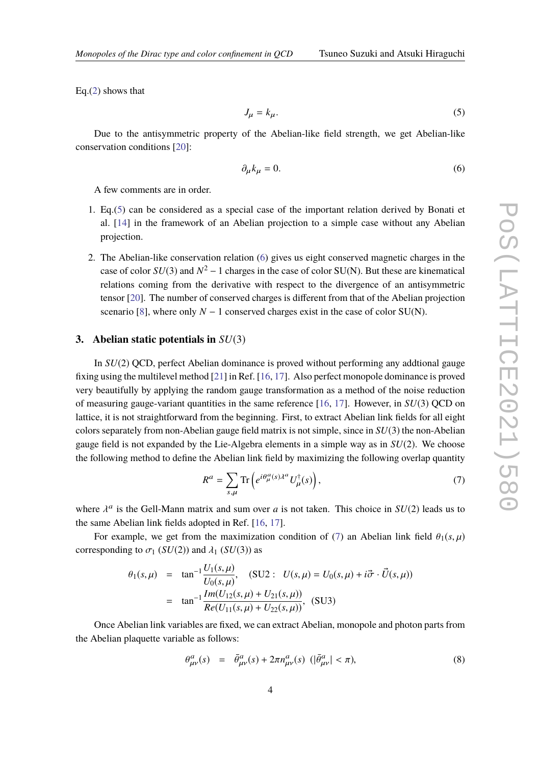Eq.(2) shows that

$$
J_{\mu} = k_{\mu}.\tag{5}
$$

Due to the antisymmetric property of the Abelian-like field strength, we get Abelian-like conservation conditions [20]:

$$
\partial_{\mu}k_{\mu}=0.\tag{6}
$$

A few comments are in order.

- 1. Eq.(5) can be considered as a special case of the important relation derived by Bonati et al. [14] in the framework of an Abelian projection to a simple case without any Abelian projection.
- 2. The Abelian-like conservation relation (6) gives us eight conserved magnetic charges in the case of color  $SU(3)$  and  $N^2 - 1$  charges in the case of color SU(N). But these are kinematical relations coming from the derivative with respect to the divergence of an antisymmetric tensor [20]. The number of conserved charges is different from that of the Abelian projection scenario [8], where only  $N - 1$  conserved charges exist in the case of color SU(N).

# **3. Abelian static potentials in** *SU*(3)

In *SU*(2) QCD, perfect Abelian dominance is proved without performing any addtional gauge fixing using the multilevel method [21] in Ref. [16, 17]. Also perfect monopole dominance is proved very beautifully by applying the random gauge transformation as a method of the noise reduction of measuring gauge-variant quantities in the same reference [16, 17]. However, in *SU*(3) QCD on lattice, it is not straightforward from the beginning. First, to extract Abelian link fields for all eight colors separately from non-Abelian gauge field matrix is not simple, since in *SU*(3) the non-Abelian gauge field is not expanded by the Lie-Algebra elements in a simple way as in *SU*(2). We choose the following method to define the Abelian link field by maximizing the following overlap quantity

$$
R^{a} = \sum_{s,\mu} \text{Tr}\left(e^{i\theta_{\mu}^{a}(s)\lambda^{a}} U_{\mu}^{\dagger}(s)\right),\tag{7}
$$

where  $\lambda^a$  is the Gell-Mann matrix and sum over *a* is not taken. This choice in  $SU(2)$  leads us to the same Abelian link fields adopted in Ref. [16, 17].

For example, we get from the maximization condition of (7) an Abelian link field  $\theta_1(s,\mu)$ corresponding to  $\sigma_1$  (*SU*(2)) and  $\lambda_1$  (*SU*(3)) as

$$
\theta_1(s,\mu) = \tan^{-1} \frac{U_1(s,\mu)}{U_0(s,\mu)}, \quad (\text{SU2 : } U(s,\mu) = U_0(s,\mu) + i\vec{\sigma} \cdot \vec{U}(s,\mu))
$$

$$
= \tan^{-1} \frac{Im(U_{12}(s,\mu) + U_{21}(s,\mu))}{Re(U_{11}(s,\mu) + U_{22}(s,\mu))}, \quad (\text{SU3})
$$

Once Abelian link variables are fixed, we can extract Abelian, monopole and photon parts from the Abelian plaquette variable as follows:

$$
\theta_{\mu\nu}^a(s) = \bar{\theta}_{\mu\nu}^a(s) + 2\pi n_{\mu\nu}^a(s) \left( |\bar{\theta}_{\mu\nu}^a| < \pi \right),\tag{8}
$$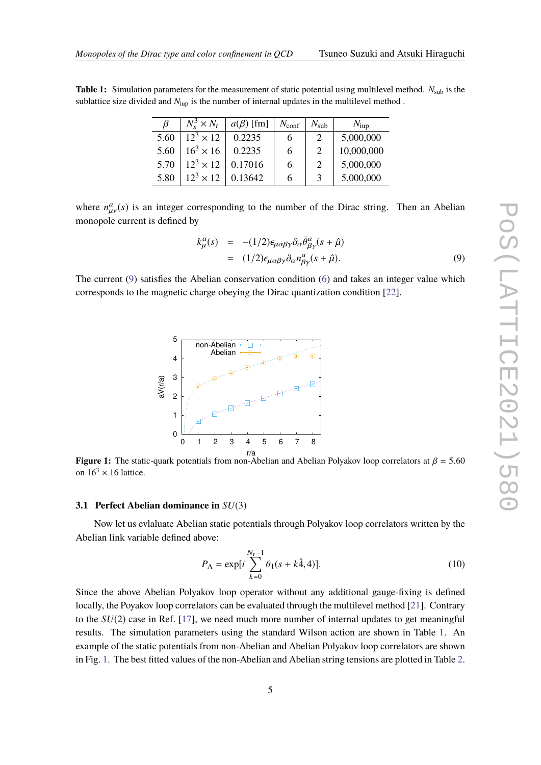| ß    | $N_s^3 \times N_t$ | $a(\beta)$ [fm] | $N_{\rm conf}$ | $N_{\rm sub}$  | $N_{\text{iup}}$ |
|------|--------------------|-----------------|----------------|----------------|------------------|
| 5.60 | $12^3 \times 12$   | 0.2235          | 6              | 2              | 5,000,000        |
| 5.60 | $16^3 \times 16$   | 0.2235          | 6              | $\mathcal{D}$  | 10,000,000       |
| 5.70 | $12^3 \times 12$   | 0.17016         | 6              | $\overline{2}$ | 5,000,000        |
| 5.80 | $12^3 \times 12$   | 0.13642         | 6              | 3              | 5,000,000        |

where  $n_{\mu\nu}^a(s)$  is an integer corresponding to the number of the Dirac string. Then an Abelian monopole current is defined by

$$
k_{\mu}^{a}(s) = -(1/2)\epsilon_{\mu\alpha\beta\gamma}\partial_{\alpha}\bar{\theta}^{a}_{\beta\gamma}(s+\hat{\mu})
$$
  
= (1/2)\epsilon\_{\mu\alpha\beta\gamma}\partial\_{\alpha}n\_{\beta\gamma}^{a}(s+\hat{\mu}). (9)

The current (9) satisfies the Abelian conservation condition (6) and takes an integer value which corresponds to the magnetic charge obeying the Dirac quantization condition [22].



**Figure 1:** The static-quark potentials from non-Abelian and Abelian Polyakov loop correlators at  $\beta = 5.60$ on  $16^3 \times 16$  lattice.

#### **3.1 Perfect Abelian dominance in** *SU*(3)

Now let us evlaluate Abelian static potentials through Polyakov loop correlators written by the Abelian link variable defined above:

$$
P_{\rm A} = \exp[i\sum_{k=0}^{N_t - 1} \theta_1(s + k\hat{A}, 4)].
$$
 (10)

Since the above Abelian Polyakov loop operator without any additional gauge-fixing is defined locally, the Poyakov loop correlators can be evaluated through the multilevel method [21]. Contrary to the *SU*(2) case in Ref. [17], we need much more number of internal updates to get meaningful results. The simulation parameters using the standard Wilson action are shown in Table 1. An example of the static potentials from non-Abelian and Abelian Polyakov loop correlators are shown in Fig. 1. The best fitted values of the non-Abelian and Abelian string tensions are plotted in Table 2.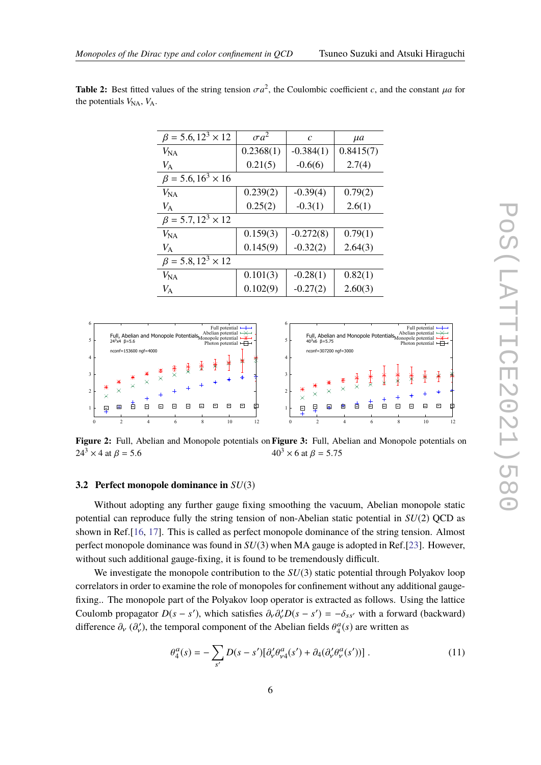| $\beta = 5.6, 12^3 \times 12$ | $\sigma a^2$ | $\mathcal{C}$ | $\mu$ a   |
|-------------------------------|--------------|---------------|-----------|
| $V_{\rm NA}$                  | 0.2368(1)    | $-0.384(1)$   | 0.8415(7) |
| $V_{\rm A}$                   | 0.21(5)      | $-0.6(6)$     | 2.7(4)    |
| $\beta = 5.6, 16^3 \times 16$ |              |               |           |
| $V_{\rm NA}$                  | 0.239(2)     | $-0.39(4)$    | 0.79(2)   |
| $V_{\rm A}$                   | 0.25(2)      | $-0.3(1)$     | 2.6(1)    |
| $\beta = 5.7, 12^3 \times 12$ |              |               |           |
| $V_{\rm NA}$                  | 0.159(3)     | $-0.272(8)$   | 0.79(1)   |
| $V_{\rm A}$                   | 0.145(9)     | $-0.32(2)$    | 2.64(3)   |
| $\beta = 5.8, 12^3 \times 12$ |              |               |           |
| $V_{\rm NA}$                  | 0.101(3)     | $-0.28(1)$    | 0.82(1)   |
| $V_{\rm A}$                   | 0.102(9)     | $-0.27(2)$    | 2.60(3)   |

**Table 2:** Best fitted values of the string tension  $\sigma a^2$ , the Coulombic coefficient *c*, and the constant  $\mu a$  for the potentials  $V_{NA}$ ,  $V_A$ .



**Figure 2:** Full, Abelian and Monopole potentials on **Figure 3:** Full, Abelian and Monopole potentials on  $24^3 \times 4$  at  $\beta = 5.6$  $40^3 \times 6$  at  $\beta = 5.75$ 

#### **3.2 Perfect monopole dominance in** *SU*(3)

Without adopting any further gauge fixing smoothing the vacuum, Abelian monopole static potential can reproduce fully the string tension of non-Abelian static potential in *SU*(2) QCD as shown in Ref.[16, 17]. This is called as perfect monopole dominance of the string tension. Almost perfect monopole dominance was found in *SU*(3) when MA gauge is adopted in Ref.[23]. However, without such additional gauge-fixing, it is found to be tremendously difficult.

We investigate the monopole contribution to the  $SU(3)$  static potential through Polyakov loop correlators in order to examine the role of monopoles for confinement without any additional gaugefixing.. The monopole part of the Polyakov loop operator is extracted as follows. Using the lattice Coulomb propagator  $D(s - s')$ , which satisfies  $\partial_{\nu} \partial_{\nu}^{'} D(s - s') = -\delta_{ss'}$  with a forward (backward) difference  $\partial_y$  ( $\partial'_y$ ), the temporal component of the Abelian fields  $\theta_4^a(s)$  are written as

$$
\theta_4^a(s) = -\sum_{s'} D(s - s') [\partial_v' \theta_{\nu 4}^a(s') + \partial_4 (\partial_v' \theta_{\nu}^a(s'))]. \tag{11}
$$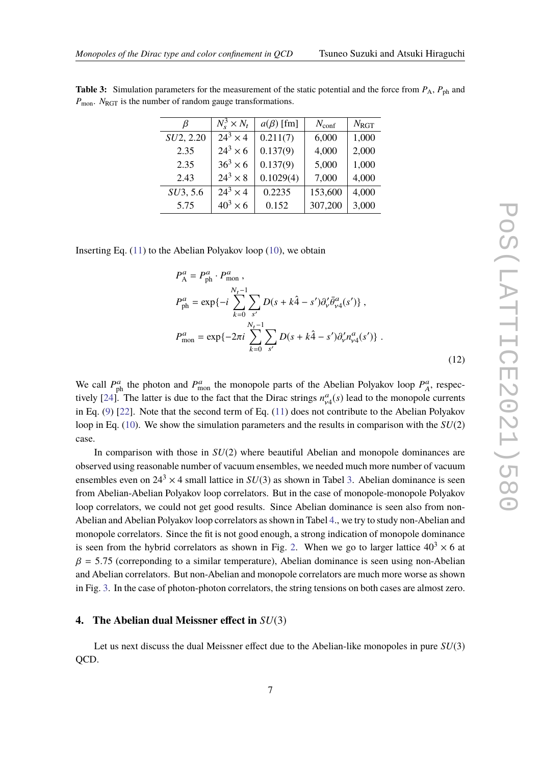| $N_{\text{conf}}$ | $N_{\rm RGT}$    |
|-------------------|------------------|
| 6,000             | 1,000            |
| 4,000             | 2,000            |
| 5,000             | 1,000            |
| 7,000             | 4,000            |
|                   | 153,600<br>4,000 |
|                   | 307,200<br>3,000 |
|                   |                  |

**Table 3:** Simulation parameters for the measurement of the static potential and the force from  $P_A$ ,  $P_{ph}$  and *P*<sub>mon</sub>. *N*<sub>RGT</sub> is the number of random gauge transformations.

Inserting Eq.  $(11)$  to the Abelian Polyakov loop  $(10)$ , we obtain

$$
P_{\rm A}^{a} = P_{\rm ph}^{a} \cdot P_{\rm mon}^{a},
$$
  
\n
$$
P_{\rm ph}^{a} = \exp\{-i \sum_{k=0}^{N_{t}-1} \sum_{s'} D(s + k\hat{4} - s') \partial_{\nu}' \bar{\theta}_{\nu 4}^{a}(s')\},
$$
  
\n
$$
P_{\rm mon}^{a} = \exp\{-2\pi i \sum_{k=0}^{N_{t}-1} \sum_{s'} D(s + k\hat{4} - s') \partial_{\nu}' n_{\nu 4}^{a}(s')\}.
$$
\n(12)

We call  $P_{ph}^a$  the photon and  $P_{\text{mon}}^a$  the monopole parts of the Abelian Polyakov loop  $P_A^a$ , respectively  $[24]$ . The latter is due to the fact that the Dirac strings  $n_{v4}^a(s)$  lead to the monopole currents in Eq. (9) [22]. Note that the second term of Eq. (11) does not contribute to the Abelian Polyakov loop in Eq. (10). We show the simulation parameters and the results in comparison with the *SU*(2) case.

In comparison with those in *SU*(2) where beautiful Abelian and monopole dominances are observed using reasonable number of vacuum ensembles, we needed much more number of vacuum ensembles even on  $24^3 \times 4$  small lattice in  $SU(3)$  as shown in Tabel 3. Abelian dominance is seen from Abelian-Abelian Polyakov loop correlators. But in the case of monopole-monopole Polyakov loop correlators, we could not get good results. Since Abelian dominance is seen also from non-Abelian and Abelian Polyakov loop correlators as shown in Tabel 4., we try to study non-Abelian and monopole correlators. Since the fit is not good enough, a strong indication of monopole dominance is seen from the hybrid correlators as shown in Fig. 2. When we go to larger lattice  $40<sup>3</sup> \times 6$  at  $\beta$  = 5.75 (correponding to a similar temperature), Abelian dominance is seen using non-Abelian and Abelian correlators. But non-Abelian and monopole correlators are much more worse as shown in Fig. 3. In the case of photon-photon correlators, the string tensions on both cases are almost zero.

# **4. The Abelian dual Meissner effect in** *SU*(3)

Let us next discuss the dual Meissner effect due to the Abelian-like monopoles in pure *SU*(3) QCD.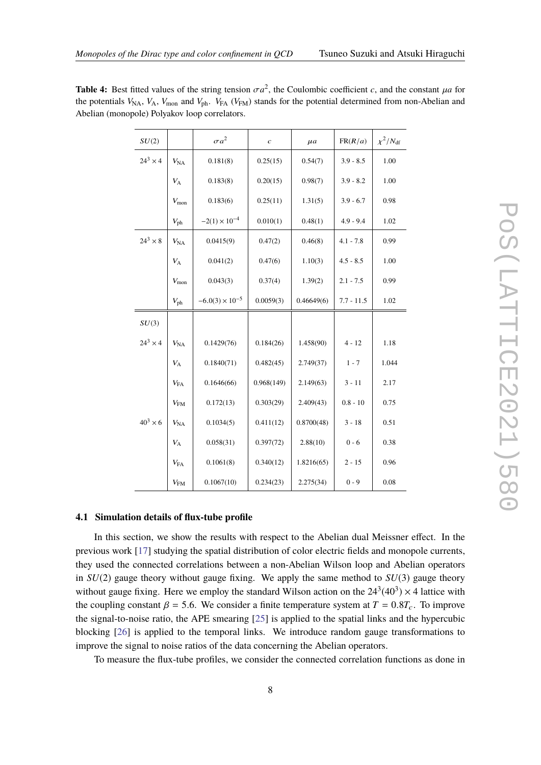| SU(2)           |                   | $\sigma a^2$             | $\overline{c}$ | $\mu$ a    | FR(R/a)      | $\chi^2/N_{\rm df}$ |
|-----------------|-------------------|--------------------------|----------------|------------|--------------|---------------------|
| $24^3 \times 4$ | $V_{\rm NA}$      | 0.181(8)                 | 0.25(15)       | 0.54(7)    | $3.9 - 8.5$  | 1.00                |
|                 | $V_{\rm A}$       | 0.183(8)                 | 0.20(15)       | 0.98(7)    | $3.9 - 8.2$  | 1.00                |
|                 | $V_{\rm mon}$     | 0.183(6)                 | 0.25(11)       | 1.31(5)    | $3.9 - 6.7$  | 0.98                |
|                 | $V_{\rm ph}$      | $-2(1) \times 10^{-4}$   | 0.010(1)       | 0.48(1)    | $4.9 - 9.4$  | 1.02                |
| $24^3 \times 8$ | $V_{\rm NA}$      | 0.0415(9)                | 0.47(2)        | 0.46(8)    | $4.1 - 7.8$  | 0.99                |
|                 | $V_{\rm A}$       | 0.041(2)                 | 0.47(6)        | 1.10(3)    | $4.5 - 8.5$  | 1.00                |
|                 | $V_{\rm mon}$     | 0.043(3)                 | 0.37(4)        | 1.39(2)    | $2.1 - 7.5$  | 0.99                |
|                 | $V_{\rm ph}$      | $-6.0(3) \times 10^{-5}$ | 0.0059(3)      | 0.46649(6) | $7.7 - 11.5$ | 1.02                |
| SU(3)           |                   |                          |                |            |              |                     |
| $24^3 \times 4$ | $V_{\text{NA}}$   | 0.1429(76)               | 0.184(26)      | 1.458(90)  | $4 - 12$     | 1.18                |
|                 | $V_{\rm A}$       | 0.1840(71)               | 0.482(45)      | 2.749(37)  | $1 - 7$      | 1.044               |
|                 | $V_{FA}$          | 0.1646(66)               | 0.968(149)     | 2.149(63)  | $3 - 11$     | 2.17                |
|                 | $V_{\text{FM}}$   | 0.172(13)                | 0.303(29)      | 2.409(43)  | $0.8 - 10$   | 0.75                |
| $40^3 \times 6$ | $V_{\rm NA}$      | 0.1034(5)                | 0.411(12)      | 0.8700(48) | $3 - 18$     | 0.51                |
|                 | $V_{\rm A}$       | 0.058(31)                | 0.397(72)      | 2.88(10)   | $0 - 6$      | 0.38                |
|                 | $V_{FA}$          | 0.1061(8)                | 0.340(12)      | 1.8216(65) | $2 - 15$     | 0.96                |
|                 | $V_{\mathrm{FM}}$ | 0.1067(10)               | 0.234(23)      | 2.275(34)  | $0 - 9$      | 0.08                |

**Table 4:** Best fitted values of the string tension  $\sigma a^2$ , the Coulombic coefficient *c*, and the constant  $\mu a$  for the potentials  $V_{NA}$ ,  $V_A$ ,  $V_{mon}$  and  $V_{ph}$ .  $V_{FA}$  ( $V_{FM}$ ) stands for the potential determined from non-Abelian and Abelian (monopole) Polyakov loop correlators.

### **4.1 Simulation details of flux-tube profile**

In this section, we show the results with respect to the Abelian dual Meissner effect. In the previous work [17] studying the spatial distribution of color electric fields and monopole currents, they used the connected correlations between a non-Abelian Wilson loop and Abelian operators in *SU*(2) gauge theory without gauge fixing. We apply the same method to *SU*(3) gauge theory without gauge fixing. Here we employ the standard Wilson action on the  $24^3(40^3) \times 4$  lattice with the coupling constant  $\beta = 5.6$ . We consider a finite temperature system at  $T = 0.8T_c$ . To improve the signal-to-noise ratio, the APE smearing [25] is applied to the spatial links and the hypercubic blocking [26] is applied to the temporal links. We introduce random gauge transformations to improve the signal to noise ratios of the data concerning the Abelian operators.

To measure the flux-tube profiles, we consider the connected correlation functions as done in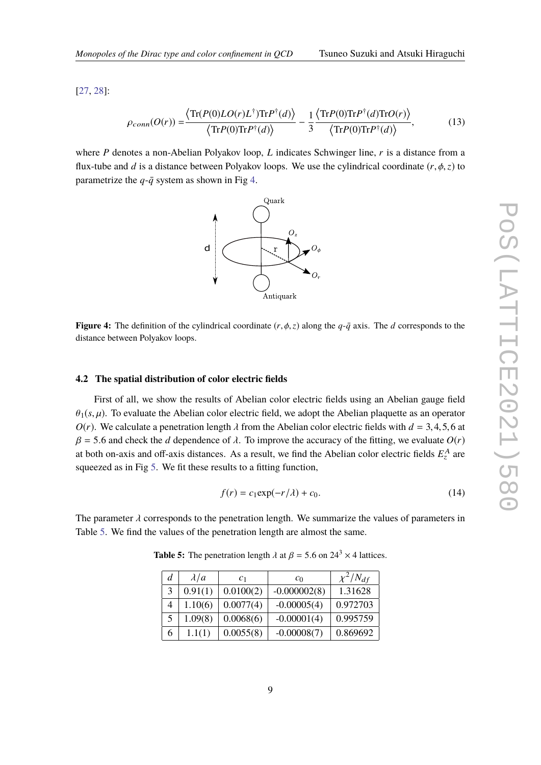[27, 28]:

$$
\rho_{conn}(O(r)) = \frac{\langle \text{Tr}(P(0)LO(r)L^{\dagger})\text{Tr}P^{\dagger}(d) \rangle}{\langle \text{Tr}P(0)\text{Tr}P^{\dagger}(d) \rangle} - \frac{1}{3} \frac{\langle \text{Tr}P(0)\text{Tr}P^{\dagger}(d)\text{Tr}O(r) \rangle}{\langle \text{Tr}P(0)\text{Tr}P^{\dagger}(d) \rangle},\tag{13}
$$

where *P* denotes a non-Abelian Polyakov loop, *L* indicates Schwinger line, *r* is a distance from a flux-tube and *d* is a distance between Polyakov loops. We use the cylindrical coordinate  $(r, \phi, z)$  to parametrize the  $q - \bar{q}$  system as shown in Fig 4.



**Figure 4:** The definition of the cylindrical coordinate  $(r, \phi, z)$  along the  $q$ - $\bar{q}$  axis. The *d* corresponds to the distance between Polyakov loops.

### **4.2 The spatial distribution of color electric fields**

First of all, we show the results of Abelian color electric fields using an Abelian gauge field  $\theta_1(s, u)$ . To evaluate the Abelian color electric field, we adopt the Abelian plaquette as an operator  $O(r)$ . We calculate a penetration length  $\lambda$  from the Abelian color electric fields with  $d = 3, 4, 5, 6$  at  $β = 5.6$  and check the *d* dependence of  $λ$ . To improve the accuracy of the fitting, we evaluate  $O(r)$ at both on-axis and off-axis distances. As a result, we find the Abelian color electric fields  $E_z^A$  are squeezed as in Fig 5. We fit these results to a fitting function,

$$
f(r) = c_1 \exp(-r/\lambda) + c_0. \tag{14}
$$

The parameter  $\lambda$  corresponds to the penetration length. We summarize the values of parameters in Table 5. We find the values of the penetration length are almost the same.

| d | $\lambda/a$ | c <sub>1</sub> | $c_0$          | $\chi^2/N_{df}$ |
|---|-------------|----------------|----------------|-----------------|
|   | 0.91(1)     | 0.0100(2)      | $-0.000002(8)$ | 1.31628         |
|   | 1.10(6)     | 0.0077(4)      | $-0.00005(4)$  | 0.972703        |
| 5 | 1.09(8)     | 0.0068(6)      | $-0.00001(4)$  | 0.995759        |
| 6 | 1.1(1)      | 0.0055(8)      | $-0.00008(7)$  | 0.869692        |

**Table 5:** The penetration length  $\lambda$  at  $\beta = 5.6$  on  $24^3 \times 4$  lattices.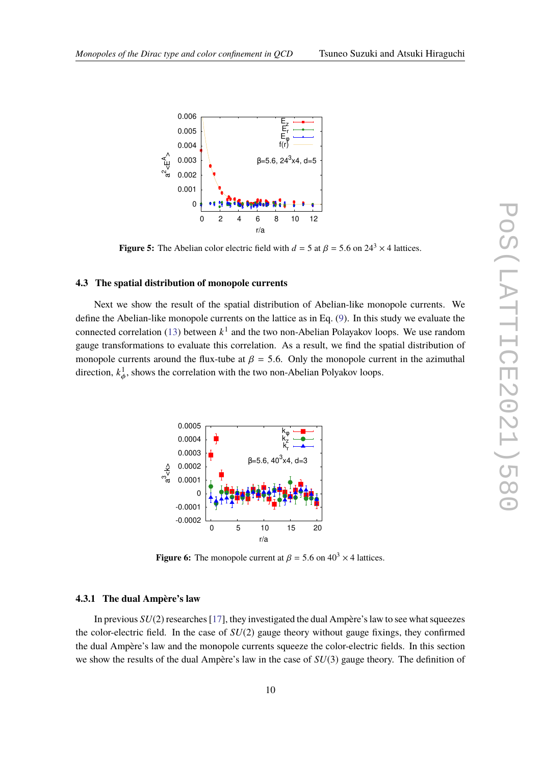

**Figure 5:** The Abelian color electric field with  $d = 5$  at  $\beta = 5.6$  on  $24^3 \times 4$  lattices.

### **4.3 The spatial distribution of monopole currents**

Next we show the result of the spatial distribution of Abelian-like monopole currents. We define the Abelian-like monopole currents on the lattice as in Eq. (9). In this study we evaluate the connected correlation (13) between *k* 1 and the two non-Abelian Polayakov loops. We use random gauge transformations to evaluate this correlation. As a result, we find the spatial distribution of monopole currents around the flux-tube at  $\beta = 5.6$ . Only the monopole current in the azimuthal direction,  $k_{\phi}^1$ , shows the correlation with the two non-Abelian Polyakov loops.



**Figure 6:** The monopole current at  $\beta = 5.6$  on  $40^3 \times 4$  lattices.

#### **4.3.1 The dual Ampère's law**

In previous *SU*(2) researches [17], they investigated the dual Ampère's law to see what squeezes the color-electric field. In the case of *SU*(2) gauge theory without gauge fixings, they confirmed the dual Ampère's law and the monopole currents squeeze the color-electric fields. In this section we show the results of the dual Ampère's law in the case of *SU*(3) gauge theory. The definition of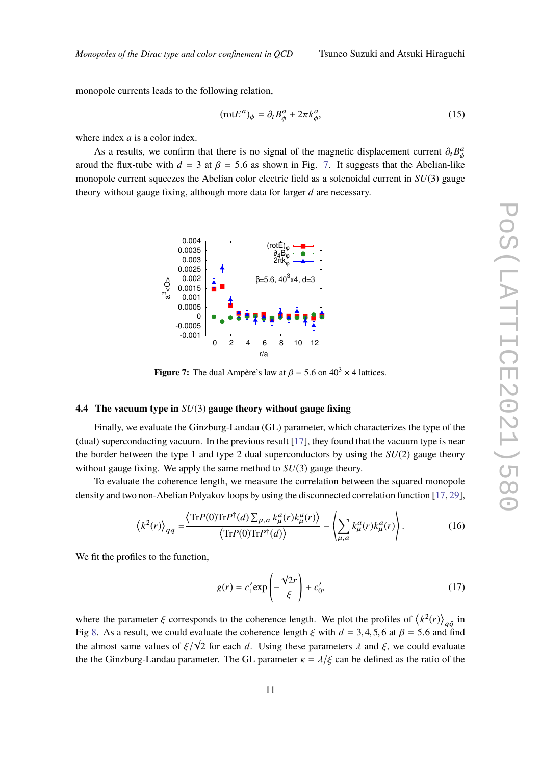monopole currents leads to the following relation,

$$
(\text{rot}E^a)_{\phi} = \partial_t B^a_{\phi} + 2\pi k^a_{\phi},\tag{15}
$$

where index *a* is a color index.

As a results, we confirm that there is no signal of the magnetic displacement current  $\partial_t B^a_\phi$ aroud the flux-tube with  $d = 3$  at  $\beta = 5.6$  as shown in Fig. 7. It suggests that the Abelian-like monopole current squeezes the Abelian color electric field as a solenoidal current in *SU*(3) gauge theory without gauge fixing, although more data for larger *d* are necessary.



**Figure 7:** The dual Ampère's law at  $\beta = 5.6$  on  $40^3 \times 4$  lattices.

# **4.4 The vacuum type in** *SU*(3) **gauge theory without gauge fixing**

Finally, we evaluate the Ginzburg-Landau (GL) parameter, which characterizes the type of the (dual) superconducting vacuum. In the previous result  $[17]$ , they found that the vacuum type is near the border between the type 1 and type 2 dual superconductors by using the  $SU(2)$  gauge theory without gauge fixing. We apply the same method to *SU*(3) gauge theory.

To evaluate the coherence length, we measure the correlation between the squared monopole density and two non-Abelian Polyakov loops by using the disconnected correlation function [17, 29],

$$
\left\langle k^{2}(r)\right\rangle_{q\bar{q}} = \frac{\left\langle \text{Tr}P(0)\text{Tr}P^{\dagger}(d)\sum_{\mu,a}k_{\mu}^{a}(r)k_{\mu}^{a}(r)\right\rangle}{\left\langle \text{Tr}P(0)\text{Tr}P^{\dagger}(d)\right\rangle} - \left\langle \sum_{\mu,a}k_{\mu}^{a}(r)k_{\mu}^{a}(r)\right\rangle. \tag{16}
$$

We fit the profiles to the function,

$$
g(r) = c_1' \exp\left(-\frac{\sqrt{2}r}{\xi}\right) + c_0',\tag{17}
$$

where the parameter  $\xi$  corresponds to the coherence length. We plot the profiles of  $\langle k^2(r) \rangle_{q\bar{q}}$  in Fig 8. As a result, we could evaluate the coherence length  $\xi$  with  $d = 3, 4, 5, 6$  at  $\beta = 5.6$  and find the almost same values of  $\xi/\sqrt{2}$  for each *d*. Using these parameters  $\lambda$  and  $\xi$ , we could evaluate the the Ginzburg-Landau parameter. The GL parameter  $\kappa = \lambda/\xi$  can be defined as the ratio of the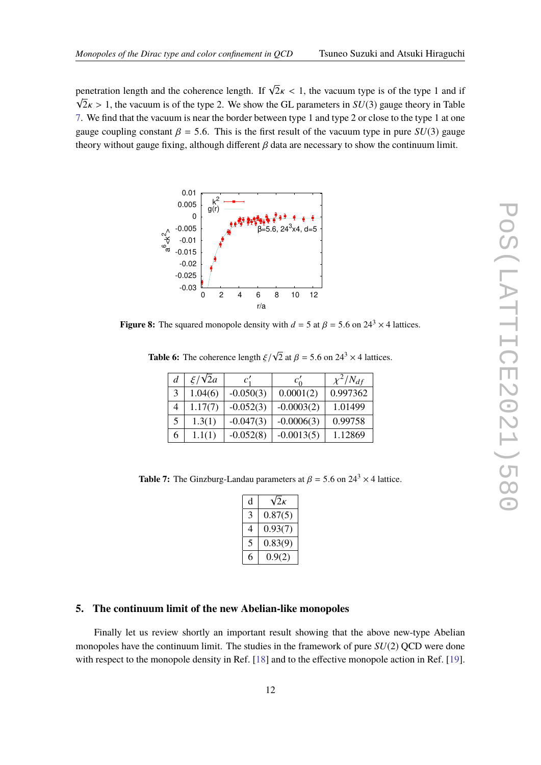penetration length and the coherence length. If  $\sqrt{2\kappa} < 1$ , the vacuum type is of the type 1 and if  $\sqrt{2\kappa} > 1$ , the vacuum is of the type 2. We show the GL parameters in  $SU(3)$  gauge theory in Table 7. We find that the vacuum is near the border between type 1 and type 2 or close to the type 1 at one gauge coupling constant  $\beta = 5.6$ . This is the first result of the vacuum type in pure *SU*(3) gauge theory without gauge fixing, although different  $\beta$  data are necessary to show the continuum limit.



**Figure 8:** The squared monopole density with  $d = 5$  at  $\beta = 5.6$  on  $24^3 \times 4$  lattices.

**Table 6:** The coherence length ξ/  $\sqrt{2}$  at  $\beta = 5.6$  on  $24^3 \times 4$  lattices.

| d | $\xi/\sqrt{2}a$ | c'          | $c'_0$       | $\chi^2/N_{df}$ |
|---|-----------------|-------------|--------------|-----------------|
| 3 | 1.04(6)         | $-0.050(3)$ | 0.0001(2)    | 0.997362        |
| 4 | 1.17(7)         | $-0.052(3)$ | $-0.0003(2)$ | 1.01499         |
| 5 | 1.3(1)          | $-0.047(3)$ | $-0.0006(3)$ | 0.99758         |
| 6 | 1.1(1)          | $-0.052(8)$ | $-0.0013(5)$ | 1.12869         |

**Table 7:** The Ginzburg-Landau parameters at  $\beta = 5.6$  on  $24^3 \times 4$  lattice.

| d | $\sqrt{2\kappa}$ |
|---|------------------|
|   | 0.87(5)          |
|   | 0.93(7)          |
|   | 0.83(9)          |
|   | 0.9(2)           |

# **5. The continuum limit of the new Abelian-like monopoles**

Finally let us review shortly an important result showing that the above new-type Abelian monopoles have the continuum limit. The studies in the framework of pure *SU*(2) QCD were done with respect to the monopole density in Ref. [18] and to the effective monopole action in Ref. [19].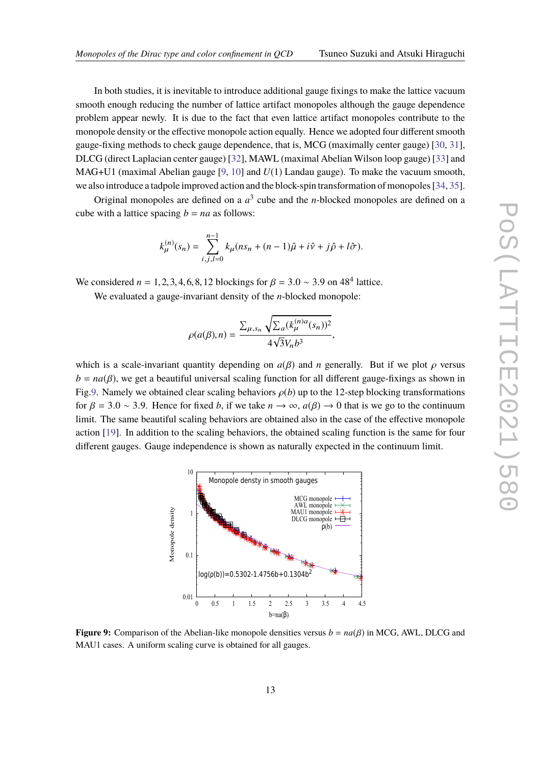In both studies, it is inevitable to introduce additional gauge fixings to make the lattice vacuum smooth enough reducing the number of lattice artifact monopoles although the gauge dependence problem appear newly. It is due to the fact that even lattice artifact monopoles contribute to the monopole density or the effective monopole action equally. Hence we adopted four different smooth gauge-fixing methods to check gauge dependence, that is, MCG (maximally center gauge) [30, 31], DLCG (direct Laplacian center gauge) [32], MAWL (maximal Abelian Wilson loop gauge) [33] and MAG+U1 (maximal Abelian gauge [9, 10] and *U*(1) Landau gauge). To make the vacuum smooth, we also introduce a tadpole improved action and the block-spin transformation of monopoles [34, 35].

Original monopoles are defined on a  $a<sup>3</sup>$  cube and the *n*-blocked monopoles are defined on a cube with a lattice spacing  $b = na$  as follows:

$$
k_{\mu}^{(n)}(s_n) = \sum_{i,j,l=0}^{n-1} k_{\mu}(ns_n + (n-1)\hat{\mu} + i\hat{\nu} + j\hat{\rho} + l\hat{\sigma}).
$$

We considered  $n = 1, 2, 3, 4, 6, 8, 12$  blockings for  $\beta = 3.0 \sim 3.9$  on 48<sup>4</sup> lattice.

We evaluated a gauge-invariant density of the *n*-blocked monopole:

$$
\rho(a(\beta),n)=\frac{\sum_{\mu,s_n}\sqrt{\sum_a(k^{(n)a}_\mu(s_n))^2}}{4\sqrt{3}V_nb^3},
$$

which is a scale-invariant quantity depending on  $a(\beta)$  and *n* generally. But if we plot  $\rho$  versus  $b = na(\beta)$ , we get a beautiful universal scaling function for all different gauge-fixings as shown in Fig.9. Namely we obtained clear scaling behaviors  $\rho(b)$  up to the 12-step blocking transformations for  $\beta = 3.0 \sim 3.9$ . Hence for fixed *b*, if we take  $n \to \infty$ ,  $a(\beta) \to 0$  that is we go to the continuum limit. The same beautiful scaling behaviors are obtained also in the case of the effective monopole action [19]. In addition to the scaling behaviors, the obtained scaling function is the same for four different gauges. Gauge independence is shown as naturally expected in the continuum limit.



**Figure 9:** Comparison of the Abelian-like monopole densities versus  $b = na(\beta)$  in MCG, AWL, DLCG and MAU1 cases. A uniform scaling curve is obtained for all gauges.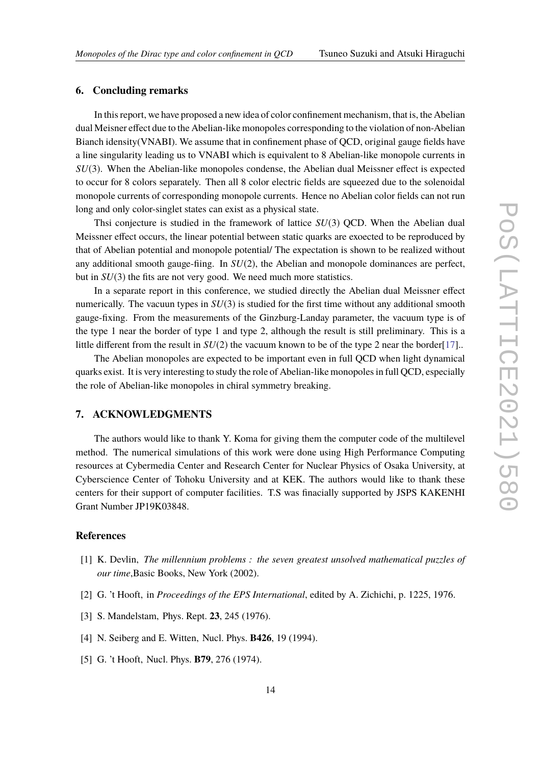### **6. Concluding remarks**

In this report, we have proposed a new idea of color confinement mechanism, that is, the Abelian dual Meisner effect due to the Abelian-like monopoles corresponding to the violation of non-Abelian Bianch idensity(VNABI). We assume that in confinement phase of QCD, original gauge fields have a line singularity leading us to VNABI which is equivalent to 8 Abelian-like monopole currents in *SU*(3). When the Abelian-like monopoles condense, the Abelian dual Meissner effect is expected to occur for 8 colors separately. Then all 8 color electric fields are squeezed due to the solenoidal monopole currents of corresponding monopole currents. Hence no Abelian color fields can not run long and only color-singlet states can exist as a physical state.

Thsi conjecture is studied in the framework of lattice *SU*(3) QCD. When the Abelian dual Meissner effect occurs, the linear potential between static quarks are exoected to be reproduced by that of Abelian potential and monopole potential/ The expectation is shown to be realized without any additional smooth gauge-fiing. In *SU*(2), the Abelian and monopole dominances are perfect, but in *SU*(3) the fits are not very good. We need much more statistics.

In a separate report in this conference, we studied directly the Abelian dual Meissner effect numerically. The vacuun types in *SU*(3) is studied for the first time without any additional smooth gauge-fixing. From the measurements of the Ginzburg-Landay parameter, the vacuum type is of the type 1 near the border of type 1 and type 2, although the result is still preliminary. This is a little different from the result in *SU*(2) the vacuum known to be of the type 2 near the border[17]..

The Abelian monopoles are expected to be important even in full QCD when light dynamical quarks exist. It is very interesting to study the role of Abelian-like monopoles in full QCD, especially the role of Abelian-like monopoles in chiral symmetry breaking.

# **7. ACKNOWLEDGMENTS**

The authors would like to thank Y. Koma for giving them the computer code of the multilevel method. The numerical simulations of this work were done using High Performance Computing resources at Cybermedia Center and Research Center for Nuclear Physics of Osaka University, at Cyberscience Center of Tohoku University and at KEK. The authors would like to thank these centers for their support of computer facilities. T.S was finacially supported by JSPS KAKENHI Grant Number JP19K03848.

### **References**

- [1] K. Devlin, *The millennium problems : the seven greatest unsolved mathematical puzzles of our time*,Basic Books, New York (2002).
- [2] G. 't Hooft, in *Proceedings of the EPS International*, edited by A. Zichichi, p. 1225, 1976.
- [3] S. Mandelstam, Phys. Rept. **23**, 245 (1976).
- [4] N. Seiberg and E. Witten, Nucl. Phys. **B426**, 19 (1994).
- [5] G. 't Hooft, Nucl. Phys. **B79**, 276 (1974).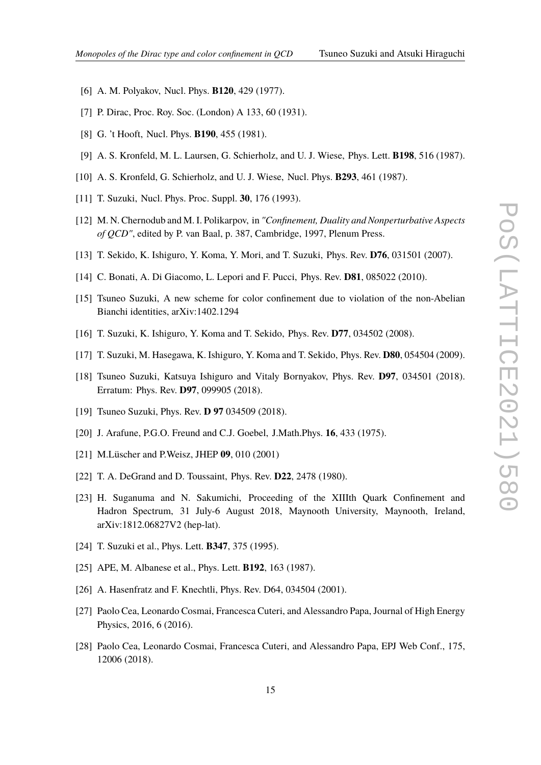- [6] A. M. Polyakov, Nucl. Phys. **B120**, 429 (1977).
- [7] P. Dirac, Proc. Roy. Soc. (London) A 133, 60 (1931).
- [8] G. 't Hooft, Nucl. Phys. **B190**, 455 (1981).
- [9] A. S. Kronfeld, M. L. Laursen, G. Schierholz, and U. J. Wiese, Phys. Lett. **B198**, 516 (1987).
- [10] A. S. Kronfeld, G. Schierholz, and U. J. Wiese, Nucl. Phys. **B293**, 461 (1987).
- [11] T. Suzuki, Nucl. Phys. Proc. Suppl. **30**, 176 (1993).
- [12] M. N. Chernodub and M. I. Polikarpov, in *"Confinement, Duality and Nonperturbative Aspects of QCD"*, edited by P. van Baal, p. 387, Cambridge, 1997, Plenum Press.
- [13] T. Sekido, K. Ishiguro, Y. Koma, Y. Mori, and T. Suzuki, Phys. Rev. **D76**, 031501 (2007).
- [14] C. Bonati, A. Di Giacomo, L. Lepori and F. Pucci, Phys. Rev. **D81**, 085022 (2010).
- [15] Tsuneo Suzuki, A new scheme for color confinement due to violation of the non-Abelian Bianchi identities, arXiv:1402.1294
- [16] T. Suzuki, K. Ishiguro, Y. Koma and T. Sekido, Phys. Rev. **D77**, 034502 (2008).
- [17] T. Suzuki, M. Hasegawa, K. Ishiguro, Y. Koma and T. Sekido, Phys. Rev. **D80**, 054504 (2009).
- [18] Tsuneo Suzuki, Katsuya Ishiguro and Vitaly Bornyakov, Phys. Rev. **D97**, 034501 (2018). Erratum: Phys. Rev. **D97**, 099905 (2018).
- [19] Tsuneo Suzuki, Phys. Rev. **D 97** 034509 (2018).
- [20] J. Arafune, P.G.O. Freund and C.J. Goebel, J.Math.Phys. **16**, 433 (1975).
- [21] M.Lüscher and P.Weisz, JHEP **09**, 010 (2001)
- [22] T. A. DeGrand and D. Toussaint, Phys. Rev. **D22**, 2478 (1980).
- [23] H. Suganuma and N. Sakumichi, Proceeding of the XIIIth Quark Confinement and Hadron Spectrum, 31 July-6 August 2018, Maynooth University, Maynooth, Ireland, arXiv:1812.06827V2 (hep-lat).
- [24] T. Suzuki et al., Phys. Lett. **B347**, 375 (1995).
- [25] APE, M. Albanese et al., Phys. Lett. **B192**, 163 (1987).
- [26] A. Hasenfratz and F. Knechtli, Phys. Rev. D64, 034504 (2001).
- [27] Paolo Cea, Leonardo Cosmai, Francesca Cuteri, and Alessandro Papa, Journal of High Energy Physics, 2016, 6 (2016).
- [28] Paolo Cea, Leonardo Cosmai, Francesca Cuteri, and Alessandro Papa, EPJ Web Conf., 175, 12006 (2018).